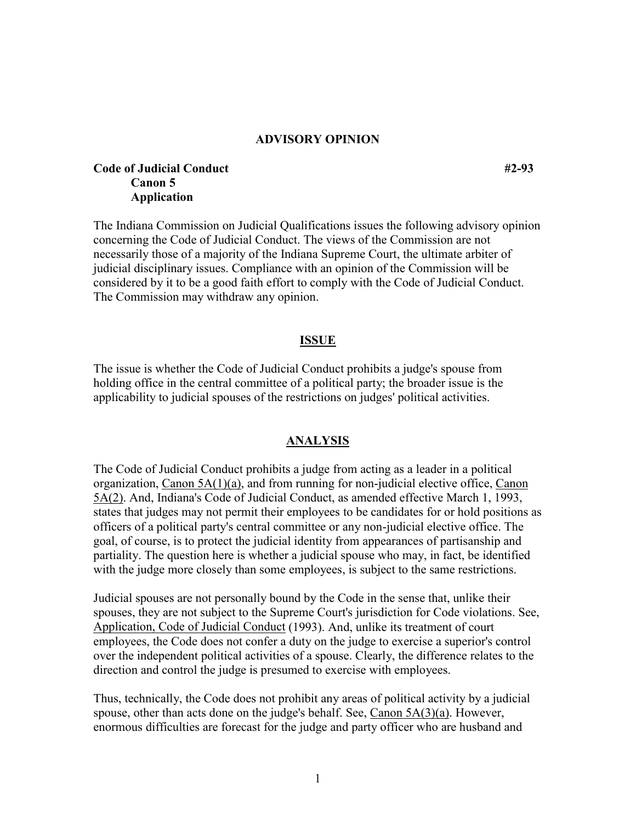### **ADVISORY OPINION**

# **Code of Judicial Conduct #2-93 Canon 5 Application**

The Indiana Commission on Judicial Qualifications issues the following advisory opinion concerning the Code of Judicial Conduct. The views of the Commission are not necessarily those of a majority of the Indiana Supreme Court, the ultimate arbiter of judicial disciplinary issues. Compliance with an opinion of the Commission will be considered by it to be a good faith effort to comply with the Code of Judicial Conduct. The Commission may withdraw any opinion.

#### **ISSUE**

The issue is whether the Code of Judicial Conduct prohibits a judge's spouse from holding office in the central committee of a political party; the broader issue is the applicability to judicial spouses of the restrictions on judges' political activities.

### **ANALYSIS**

The Code of Judicial Conduct prohibits a judge from acting as a leader in a political organization, Canon 5A(1)(a), and from running for non-judicial elective office, Canon 5A(2). And, Indiana's Code of Judicial Conduct, as amended effective March 1, 1993, states that judges may not permit their employees to be candidates for or hold positions as officers of a political party's central committee or any non-judicial elective office. The goal, of course, is to protect the judicial identity from appearances of partisanship and partiality. The question here is whether a judicial spouse who may, in fact, be identified with the judge more closely than some employees, is subject to the same restrictions.

Judicial spouses are not personally bound by the Code in the sense that, unlike their spouses, they are not subject to the Supreme Court's jurisdiction for Code violations. See, Application, Code of Judicial Conduct (1993). And, unlike its treatment of court employees, the Code does not confer a duty on the judge to exercise a superior's control over the independent political activities of a spouse. Clearly, the difference relates to the direction and control the judge is presumed to exercise with employees.

Thus, technically, the Code does not prohibit any areas of political activity by a judicial spouse, other than acts done on the judge's behalf. See, Canon 5A(3)(a). However, enormous difficulties are forecast for the judge and party officer who are husband and